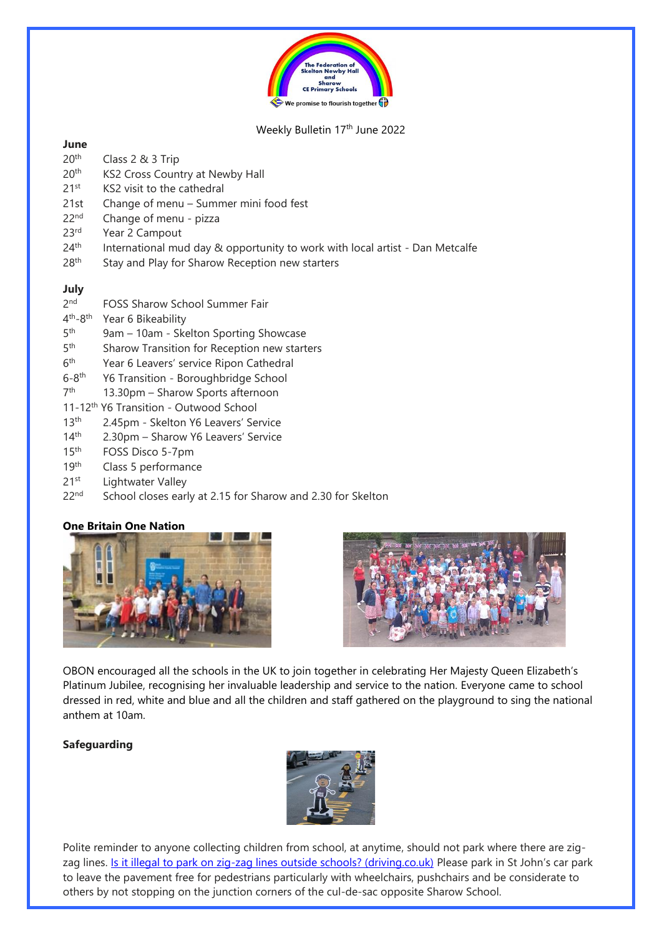

## Weekly Bulletin 17<sup>th</sup> June 2022

## **June**

- 20th Class 2 & 3 Trip
- 20<sup>th</sup> KS2 Cross Country at Newby Hall
- 21<sup>st</sup> KS2 visit to the cathedral
- 21st Change of menu Summer mini food fest
- 22<sup>nd</sup> Change of menu pizza
- 23<sup>rd</sup> Year 2 Campout
- $24<sup>th</sup>$  International mud day & opportunity to work with local artist Dan Metcalfe
- 28<sup>th</sup> Stay and Play for Sharow Reception new starters

## **July**

- $2<sub>nd</sub>$ FOSS Sharow School Summer Fair
- 4<sup>th</sup>-8 Year 6 Bikeability
- $5<sup>th</sup>$ 9am – 10am - Skelton Sporting Showcase
- $5<sup>th</sup>$ Sharow Transition for Reception new starters
- $6<sup>th</sup>$ Year 6 Leavers' service Ripon Cathedral
- $6-8$ <sup>th</sup> Y6 Transition - Boroughbridge School
- 7<sup>th</sup> 13.30pm – Sharow Sports afternoon
- 11-12th Y6 Transition Outwood School
- 13<sup>th</sup> 2.45pm Skelton Y6 Leavers' Service
- 14th 2.30pm Sharow Y6 Leavers' Service
- 15th FOSS Disco 5-7pm
- 19<sup>th</sup> Class 5 performance
- 21<sup>st</sup> Lightwater Valley
- 22<sup>nd</sup> School closes early at 2.15 for Sharow and 2.30 for Skelton

## **One Britain One Nation**





OBON encouraged all the schools in the UK to join together in celebrating Her Majesty Queen Elizabeth's Platinum Jubilee, recognising her invaluable leadership and service to the nation. Everyone came to school dressed in red, white and blue and all the children and staff gathered on the playground to sing the national anthem at 10am.

## **Safeguarding**



Polite reminder to anyone collecting children from school, at anytime, should not park where there are zig-zag lines. [Is it illegal to park on zig-zag lines outside schools? \(driving.co.uk\)](https://www.driving.co.uk/car-clinic/advice/illegal-park-zig-zag-lines-outside-schools/) Please park in St John's car park to leave the pavement free for pedestrians particularly with wheelchairs, pushchairs and be considerate to others by not stopping on the junction corners of the cul-de-sac opposite Sharow School.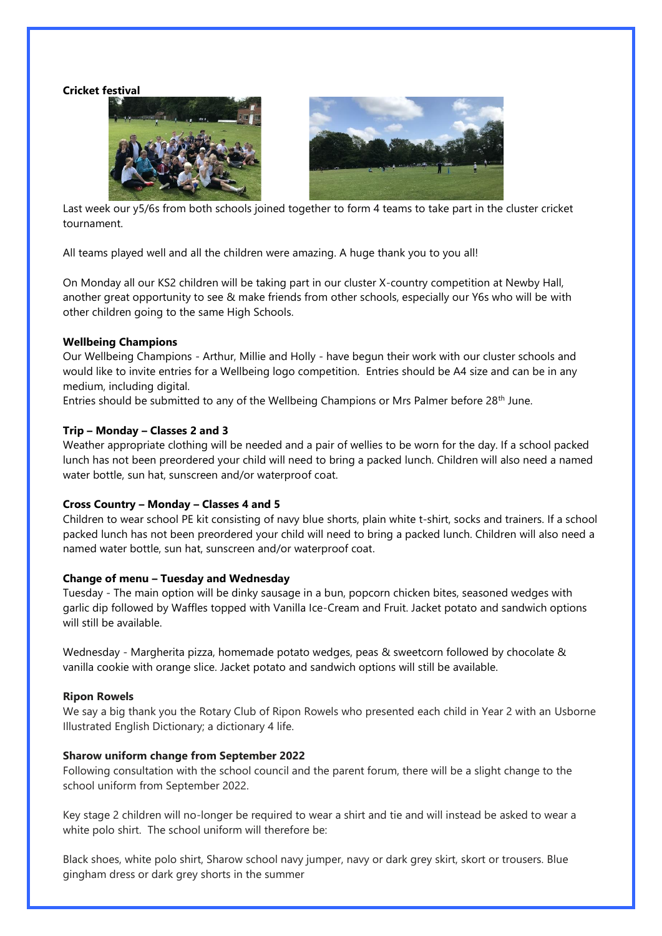**Cricket festival**





Last week our y5/6s from both schools joined together to form 4 teams to take part in the cluster cricket tournament.

All teams played well and all the children were amazing. A huge thank you to you all!

On Monday all our KS2 children will be taking part in our cluster X-country competition at Newby Hall, another great opportunity to see & make friends from other schools, especially our Y6s who will be with other children going to the same High Schools.

#### **Wellbeing Champions**

Our Wellbeing Champions - Arthur, Millie and Holly - have begun their work with our cluster schools and would like to invite entries for a Wellbeing logo competition. Entries should be A4 size and can be in any medium, including digital.

Entries should be submitted to any of the Wellbeing Champions or Mrs Palmer before 28<sup>th</sup> June.

### **Trip – Monday – Classes 2 and 3**

Weather appropriate clothing will be needed and a pair of wellies to be worn for the day. If a school packed lunch has not been preordered your child will need to bring a packed lunch. Children will also need a named water bottle, sun hat, sunscreen and/or waterproof coat.

#### **Cross Country – Monday – Classes 4 and 5**

Children to wear school PE kit consisting of navy blue shorts, plain white t-shirt, socks and trainers. If a school packed lunch has not been preordered your child will need to bring a packed lunch. Children will also need a named water bottle, sun hat, sunscreen and/or waterproof coat.

#### **Change of menu – Tuesday and Wednesday**

Tuesday - The main option will be dinky sausage in a bun, popcorn chicken bites, seasoned wedges with garlic dip followed by Waffles topped with Vanilla Ice-Cream and Fruit. Jacket potato and sandwich options will still be available.

Wednesday - Margherita pizza, homemade potato wedges, peas & sweetcorn followed by chocolate & vanilla cookie with orange slice. Jacket potato and sandwich options will still be available.

#### **Ripon Rowels**

We say a big thank you the Rotary Club of Ripon Rowels who presented each child in Year 2 with an Usborne Illustrated English Dictionary; a dictionary 4 life.

#### **Sharow uniform change from September 2022**

Following consultation with the school council and the parent forum, there will be a slight change to the school uniform from September 2022.

Key stage 2 children will no-longer be required to wear a shirt and tie and will instead be asked to wear a white polo shirt. The school uniform will therefore be:

Black shoes, white polo shirt, Sharow school navy jumper, navy or dark grey skirt, skort or trousers. Blue gingham dress or dark grey shorts in the summer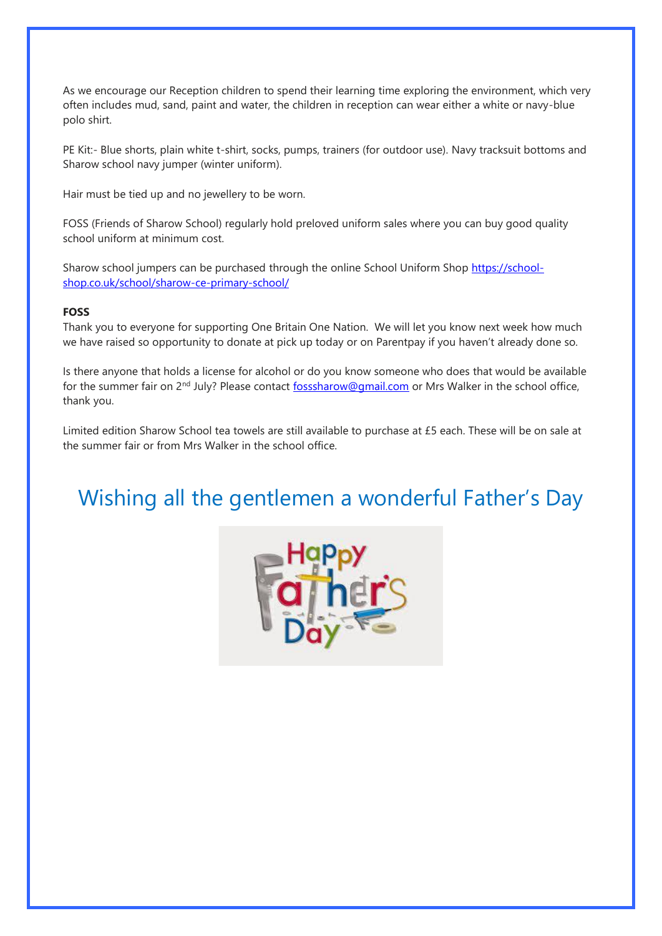As we encourage our Reception children to spend their learning time exploring the environment, which very often includes mud, sand, paint and water, the children in reception can wear either a white or navy-blue polo shirt.

PE Kit:- Blue shorts, plain white t-shirt, socks, pumps, trainers (for outdoor use). Navy tracksuit bottoms and Sharow school navy jumper (winter uniform).

Hair must be tied up and no jewellery to be worn.

FOSS (Friends of Sharow School) regularly hold preloved uniform sales where you can buy good quality school uniform at minimum cost.

Sharow school jumpers can be purchased through the online School Uniform Shop [https://school](https://school-shop.co.uk/school/sharow-ce-primary-school/)[shop.co.uk/school/sharow-ce-primary-school/](https://school-shop.co.uk/school/sharow-ce-primary-school/)

## **FOSS**

Thank you to everyone for supporting One Britain One Nation. We will let you know next week how much we have raised so opportunity to donate at pick up today or on Parentpay if you haven't already done so.

Is there anyone that holds a license for alcohol or do you know someone who does that would be available for the summer fair on 2<sup>nd</sup> July? Please contact [fosssharow@gmail.com](mailto:fosssharow@gmail.com) or Mrs Walker in the school office, thank you.

Limited edition Sharow School tea towels are still available to purchase at £5 each. These will be on sale at the summer fair or from Mrs Walker in the school office.

# Wishing all the gentlemen a wonderful Father's Day